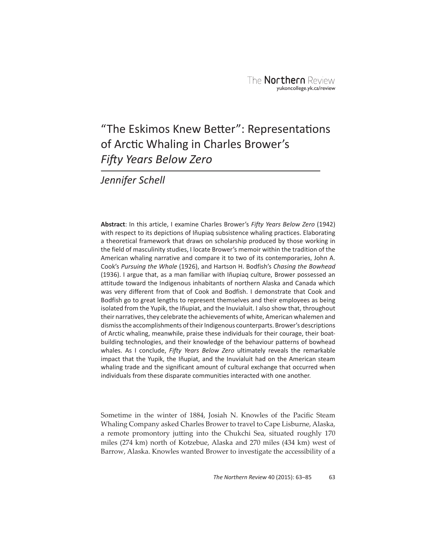# "The Eskimos Knew Better": Representations of Arctic Whaling in Charles Brower's **Fifty Years Below Zero**

*Jennifer Schell*

**Abstract**: In this article, I examine Charles Brower's *Fifty Years Below Zero* (1942) with respect to its depictions of Iñupiaq subsistence whaling practices. Elaborating a theoretical framework that draws on scholarship produced by those working in the field of masculinity studies, I locate Brower's memoir within the tradition of the American whaling narrative and compare it to two of its contemporaries, John A. Cook's *Pursuing the Whale* (1926), and Hartson H. Bodfish's *Chasing the Bowhead* (1936). I argue that, as a man familiar with Iñupiaq culture, Brower possessed an attitude toward the Indigenous inhabitants of northern Alaska and Canada which was very different from that of Cook and Bodfish. I demonstrate that Cook and Bodfish go to great lengths to represent themselves and their employees as being isolated from the Yupik, the Iñupiat, and the Inuvialuit. I also show that, throughout their narratives, they celebrate the achievements of white, American whalemen and dismiss the accomplishments of their Indigenous counterparts. Brower's descriptions of Arctic whaling, meanwhile, praise these individuals for their courage, their boatbuilding technologies, and their knowledge of the behaviour patterns of bowhead whales. As I conclude, *Fifty Years Below Zero* ultimately reveals the remarkable impact that the Yupik, the Iñupiat, and the Inuvialuit had on the American steam whaling trade and the significant amount of cultural exchange that occurred when individuals from these disparate communities interacted with one another.

Sometime in the winter of 1884, Josiah N. Knowles of the Pacific Steam Whaling Company asked Charles Brower to travel to Cape Lisburne, Alaska, a remote promontory jutting into the Chukchi Sea, situated roughly 170 miles (274 km) north of Kotzebue, Alaska and 270 miles (434 km) west of Barrow, Alaska. Knowles wanted Brower to investigate the accessibility of a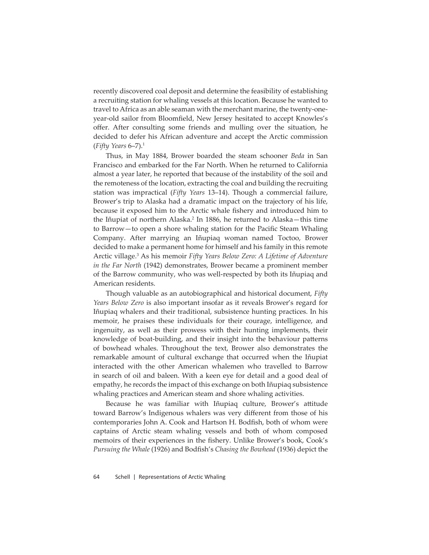recently discovered coal deposit and determine the feasibility of establishing a recruiting station for whaling vessels at this location. Because he wanted to travel to Africa as an able seaman with the merchant marine, the twenty-oneyear-old sailor from Bloomfield, New Jersey hesitated to accept Knowles's offer. After consulting some friends and mulling over the situation, he decided to defer his African adventure and accept the Arctic commission (*Fifty Years* 6–7).1

Thus, in May 1884, Brower boarded the steam schooner *Beda* in San Francisco and embarked for the Far North. When he returned to California almost a year later, he reported that because of the instability of the soil and the remoteness of the location, extracting the coal and building the recruiting station was impractical (*Fifty Years* 13–14). Though a commercial failure, Brower's trip to Alaska had a dramatic impact on the trajectory of his life, because it exposed him to the Arctic whale fishery and introduced him to the Iñupiat of northern Alaska.<sup>2</sup> In 1886, he returned to Alaska–this time to Barrow—to open a shore whaling station for the Pacific Steam Whaling Company. After marrying an Iñupiaq woman named Toctoo, Brower decided to make a permanent home for himself and his family in this remote Arctic village.3 As his memoir *Fifty Years Below Zero: A Lifetime of Adventure in the Far North* (1942) demonstrates, Brower became a prominent member of the Barrow community, who was well-respected by both its Iñupiaq and American residents.

Though valuable as an autobiographical and historical document, *Fifty Years Below Zero* is also important insofar as it reveals Brower's regard for Iñupiaq whalers and their traditional, subsistence hunting practices. In his memoir, he praises these individuals for their courage, intelligence, and ingenuity, as well as their prowess with their hunting implements, their knowledge of boat-building, and their insight into the behaviour patterns of bowhead whales. Throughout the text, Brower also demonstrates the remarkable amount of cultural exchange that occurred when the Iñupiat interacted with the other American whalemen who travelled to Barrow in search of oil and baleen. With a keen eye for detail and a good deal of empathy, he records the impact of this exchange on both Iñupiaq subsistence whaling practices and American steam and shore whaling activities.

Because he was familiar with Iñupiaq culture, Brower's attitude toward Barrow's Indigenous whalers was very different from those of his contemporaries John A. Cook and Hartson H. Bodfish, both of whom were captains of Arctic steam whaling vessels and both of whom composed memoirs of their experiences in the fishery. Unlike Brower's book, Cook's *Pursuing the Whale* (1926) and Bodfish's *Chasing the Bowhead* (1936) depict the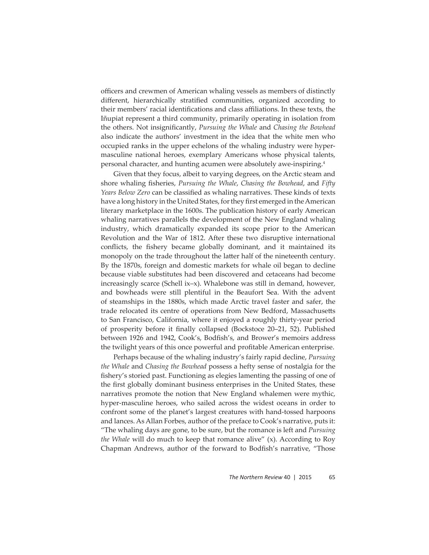officers and crewmen of American whaling vessels as members of distinctly different, hierarchically stratified communities, organized according to their members' racial identifications and class affiliations. In these texts, the Iñupiat represent a third community, primarily operating in isolation from the others. Not insignificantly, *Pursuing the Whale* and *Chasing the Bowhead* also indicate the authors' investment in the idea that the white men who occupied ranks in the upper echelons of the whaling industry were hypermasculine national heroes, exemplary Americans whose physical talents, personal character, and hunting acumen were absolutely awe-inspiring.4

Given that they focus, albeit to varying degrees, on the Arctic steam and shore whaling fisheries, *Pursuing the Whale*, *Chasing the Bowhead*, and *Fifty Years Below Zero* can be classified as whaling narratives. These kinds of texts have a long history in the United States, for they first emerged in the American literary marketplace in the 1600s. The publication history of early American whaling narratives parallels the development of the New England whaling industry, which dramatically expanded its scope prior to the American Revolution and the War of 1812. After these two disruptive international conflicts, the fishery became globally dominant, and it maintained its monopoly on the trade throughout the latter half of the nineteenth century. By the 1870s, foreign and domestic markets for whale oil began to decline because viable substitutes had been discovered and cetaceans had become increasingly scarce (Schell ix–x). Whalebone was still in demand, however, and bowheads were still plentiful in the Beaufort Sea. With the advent of steamships in the 1880s, which made Arctic travel faster and safer, the trade relocated its centre of operations from New Bedford, Massachusetts to San Francisco, California, where it enjoyed a roughly thirty-year period of prosperity before it finally collapsed (Bockstoce 20–21, 52). Published between 1926 and 1942, Cook's, Bodfish's, and Brower's memoirs address the twilight years of this once powerful and profi table American enterprise.

Perhaps because of the whaling industry's fairly rapid decline, *Pursuing the Whale* and *Chasing the Bowhead* possess a hefty sense of nostalgia for the fishery's storied past. Functioning as elegies lamenting the passing of one of the first globally dominant business enterprises in the United States, these narratives promote the notion that New England whalemen were mythic, hyper-masculine heroes, who sailed across the widest oceans in order to confront some of the planet's largest creatures with hand-tossed harpoons and lances. As Allan Forbes, author of the preface to Cook's narrative, puts it: "The whaling days are gone, to be sure, but the romance is left and *Pursuing the Whale* will do much to keep that romance alive" (x). According to Roy Chapman Andrews, author of the forward to Bodfish's narrative, "Those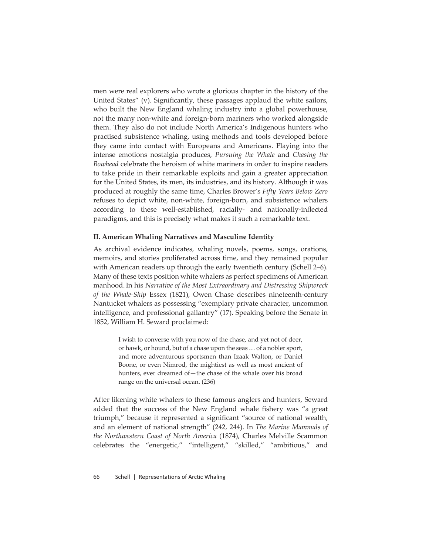men were real explorers who wrote a glorious chapter in the history of the United States" (v). Significantly, these passages applaud the white sailors, who built the New England whaling industry into a global powerhouse, not the many non-white and foreign-born mariners who worked alongside them. They also do not include North America's Indigenous hunters who practised subsistence whaling, using methods and tools developed before they came into contact with Europeans and Americans. Playing into the intense emotions nostalgia produces, *Pursuing the Whale* and *Chasing the Bowhead* celebrate the heroism of white mariners in order to inspire readers to take pride in their remarkable exploits and gain a greater appreciation for the United States, its men, its industries, and its history. Although it was produced at roughly the same time, Charles Brower's *Fifty Years Below Zero* refuses to depict white, non-white, foreign-born, and subsistence whalers according to these well-established, racially- and nationally-inflected paradigms, and this is precisely what makes it such a remarkable text.

# **II. American Whaling Narratives and Masculine Identity**

As archival evidence indicates, whaling novels, poems, songs, orations, memoirs, and stories proliferated across time, and they remained popular with American readers up through the early twentieth century (Schell 2–6). Many of these texts position white whalers as perfect specimens of American manhood.In his *Narrative of the Most Extraordinary and Distressing Shipwreck of the Whale-Ship* Essex (1821), Owen Chase describes nineteenth-century Nantucket whalers as possessing "exemplary private character, uncommon intelligence, and professional gallantry" (17). Speaking before the Senate in 1852, William H. Seward proclaimed:

> I wish to converse with you now of the chase, and yet not of deer, or hawk, or hound, but of a chase upon the seas … of a nobler sport, and more adventurous sportsmen than Izaak Walton, or Daniel Boone, or even Nimrod, the mightiest as well as most ancient of hunters, ever dreamed of—the chase of the whale over his broad range on the universal ocean. (236)

After likening white whalers to these famous anglers and hunters, Seward added that the success of the New England whale fishery was "a great triumph," because it represented a significant "source of national wealth, and an element of national strength" (242, 244). In *The Marine Mammals of the Northwestern Coast of North America* (1874), Charles Melville Scammon celebrates the "energetic," "intelligent," "skilled," "ambitious," and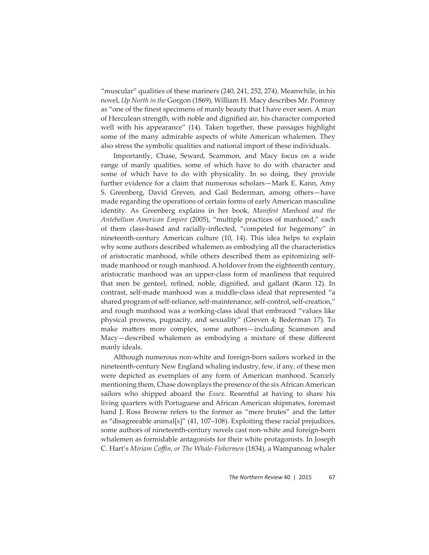"muscular" qualities of these mariners (240, 241, 252, 274). Meanwhile, in his novel, *Up North in the* Gorgon (1869), William H. Macy describes Mr. Pomroy as "one of the finest specimens of manly beauty that I have ever seen. A man of Herculean strength, with noble and dignified air, his character comported well with his appearance" (14). Taken together, these passages highlight some of the many admirable aspects of white American whalemen. They also stress the symbolic qualities and national import of these individuals.

Importantly, Chase, Seward, Scammon, and Macy focus on a wide range of manly qualities, some of which have to do with character and some of which have to do with physicality. In so doing, they provide further evidence for a claim that numerous scholars—Mark E. Kann, Amy S. Greenberg, David Greven, and Gail Bederman, among others—have made regarding the operations of certain forms of early American masculine identity. As Greenberg explains in her book, *Manifest Manhood and the Antebellum American Empire* (2005), "multiple practices of manhood," each of them class-based and racially-inflected, "competed for hegemony" in nineteenth-century American culture (10, 14). This idea helps to explain why some authors described whalemen as embodying all the characteristics of aristocratic manhood, while others described them as epitomizing selfmade manhood or rough manhood. A holdover from the eighteenth century, aristocratic manhood was an upper-class form of manliness that required that men be genteel, refined, noble, dignified, and gallant (Kann 12). In contrast, self-made manhood was a middle-class ideal that represented "a shared program of self-reliance, self-maintenance, self-control, self-creation," and rough manhood was a working-class ideal that embraced "values like physical prowess, pugnacity, and sexuality" (Greven 4; Bederman 17). To make matters more complex, some authors—including Scammon and Macy—described whalemen as embodying a mixture of these different manly ideals.

Although numerous non-white and foreign-born sailors worked in the nineteenth-century New England whaling industry, few, if any, of these men were depicted as exemplars of any form of American manhood. Scarcely mentioning them, Chase downplays the presence of the six African American sailors who shipped aboard the *Essex*. Resentful at having to share his living quarters with Portuguese and African American shipmates, foremast hand J. Ross Browne refers to the former as "mere brutes" and the latter as "disagreeable animal[s]" (41, 107–108). Exploiting these racial prejudices, some authors of nineteenth-century novels cast non-white and foreign-born whalemen as formidable antagonists for their white protagonists. In Joseph C. Hart's *Miriam Coffi n, or The Whale-Fishermen* (1834), a Wampanoag whaler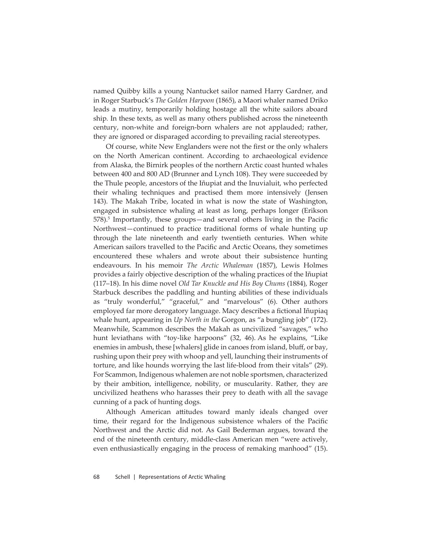named Quibby kills a young Nantucket sailor named Harry Gardner, and in Roger Starbuck's *The Golden Harpoon* (1865), a Maori whaler named Driko leads a mutiny, temporarily holding hostage all the white sailors aboard ship*.* In these texts, as well as many others published across the nineteenth century, non-white and foreign-born whalers are not applauded; rather, they are ignored or disparaged according to prevailing racial stereotypes.

Of course, white New Englanders were not the first or the only whalers on the North American continent. According to archaeological evidence from Alaska, the Birnirk peoples of the northern Arctic coast hunted whales between 400 and 800 AD (Brunner and Lynch 108). They were succeeded by the Thule people, ancestors of the Iñupiat and the Inuvialuit, who perfected their whaling techniques and practised them more intensively (Jensen 143). The Makah Tribe, located in what is now the state of Washington, engaged in subsistence whaling at least as long, perhaps longer (Erikson 578).<sup>5</sup> Importantly, these groups—and several others living in the Pacific Northwest—continued to practice traditional forms of whale hunting up through the late nineteenth and early twentieth centuries. When white American sailors travelled to the Pacific and Arctic Oceans, they sometimes encountered these whalers and wrote about their subsistence hunting endeavours. In his memoir *The Arctic Whaleman* (1857), Lewis Holmes provides a fairly objective description of the whaling practices of the Iñupiat (117–18). In his dime novel *Old Tar Knuckle and His Boy Chums* (1884), Roger Starbuck describes the paddling and hunting abilities of these individuals as "truly wonderful," "graceful," and "marvelous" (6). Other authors employed far more derogatory language. Macy describes a fictional Iñupiaq whale hunt, appearing in *Up North in the* Gorgon, as "a bungling job" (172). Meanwhile, Scammon describes the Makah as uncivilized "savages," who hunt leviathans with "toy-like harpoons" (32, 46). As he explains, "Like enemies in ambush, these [whalers] glide in canoes from island, bluff, or bay, rushing upon their prey with whoop and yell, launching their instruments of torture, and like hounds worrying the last life-blood from their vitals" (29). For Scammon, Indigenous whalemen are not noble sportsmen, characterized by their ambition, intelligence, nobility, or muscularity. Rather, they are uncivilized heathens who harasses their prey to death with all the savage cunning of a pack of hunting dogs.

Although American attitudes toward manly ideals changed over time, their regard for the Indigenous subsistence whalers of the Pacific Northwest and the Arctic did not. As Gail Bederman argues, toward the end of the nineteenth century, middle-class American men "were actively, even enthusiastically engaging in the process of remaking manhood" (15).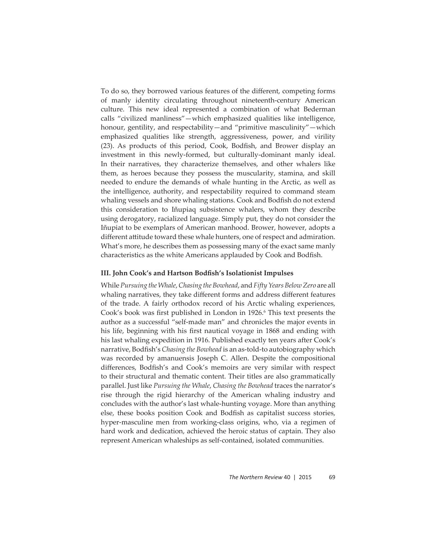To do so, they borrowed various features of the different, competing forms of manly identity circulating throughout nineteenth-century American culture. This new ideal represented a combination of what Bederman calls "civilized manliness"—which emphasized qualities like intelligence, honour, gentility, and respectability—and "primitive masculinity"—which emphasized qualities like strength, aggressiveness, power, and virility (23). As products of this period, Cook, Bodfish, and Brower display an investment in this newly-formed, but culturally-dominant manly ideal. In their narratives, they characterize themselves, and other whalers like them, as heroes because they possess the muscularity, stamina, and skill needed to endure the demands of whale hunting in the Arctic, as well as the intelligence, authority, and respectability required to command steam whaling vessels and shore whaling stations. Cook and Bodfish do not extend this consideration to Iñupiaq subsistence whalers, whom they describe using derogatory, racialized language. Simply put, they do not consider the Iñupiat to be exemplars of American manhood. Brower, however, adopts a different attitude toward these whale hunters, one of respect and admiration. What's more, he describes them as possessing many of the exact same manly characteristics as the white Americans applauded by Cook and Bodfish.

### **III. John Cook's and Hartson Bodfish's Isolationist Impulses**

While *Pursuing the Whale*, *Chasing the Bowhead*, and *Fifty Years Below Zero* are all whaling narratives, they take different forms and address different features of the trade. A fairly orthodox record of his Arctic whaling experiences, Cook's book was first published in London in 1926.<sup>6</sup> This text presents the author as a successful "self-made man" and chronicles the major events in his life, beginning with his first nautical voyage in 1868 and ending with his last whaling expedition in 1916. Published exactly ten years after Cook's narrative, Bodfish's *Chasing the Bowhead* is an as-told-to autobiography which was recorded by amanuensis Joseph C. Allen. Despite the compositional differences, Bodfish's and Cook's memoirs are very similar with respect to their structural and thematic content. Their titles are also grammatically parallel. Just like *Pursuing the Whale*, *Chasing the Bowhead* traces the narrator's rise through the rigid hierarchy of the American whaling industry and concludes with the author's last whale-hunting voyage. More than anything else, these books position Cook and Bodfish as capitalist success stories, hyper-masculine men from working-class origins, who, via a regimen of hard work and dedication, achieved the heroic status of captain. They also represent American whaleships as self-contained, isolated communities.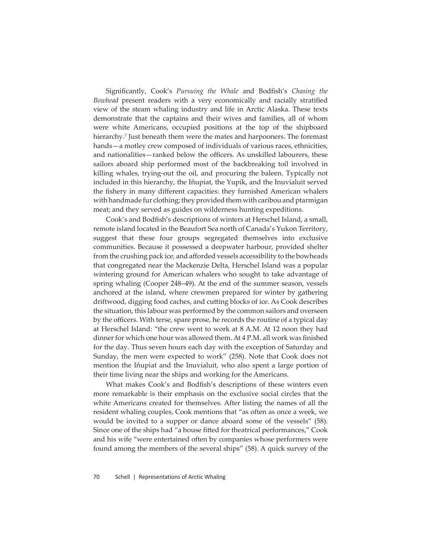Significantly, Cook's Pursuing the Whale and Bodfish's Chasing the Bowhead present readers with a very economically and racially stratified view of the steam whaling industry and life in Arctic Alaska. These texts demonstrate that the captains and their wives and families, all of whom were white Americans, occupied positions at the top of the shipboard hierarchy.7 Just beneath them were the mates and harpooners. The foremast hands—a motley crew composed of individuals of various races, ethnicities, and nationalities—ranked below the officers. As unskilled labourers, these sailors aboard ship performed most of the backbreaking toil involved in killing whales, trying-out the oil, and procuring the baleen. Typically not included in this hierarchy, the Iñupiat, the Yupik, and the Inuvialuit served the fishery in many different capacities: they furnished American whalers with handmade fur clothing; they provided them with caribou and ptarmigan meat; and they served as guides on wilderness hunting expeditions.

Cook's and Bodfish's descriptions of winters at Herschel Island, a small, remote island located in the Beaufort Sea north of Canada's Yukon Territory, suggest that these four groups segregated themselves into exclusive communities. Because it possessed a deepwater harbour, provided shelter from the crushing pack ice, and afforded vessels accessibility to the bowheads that congregated near the Mackenzie Delta, Herschel Island was a popular wintering ground for American whalers who sought to take advantage of spring whaling (Cooper 248–49). At the end of the summer season, vessels anchored at the island, where crewmen prepared for winter by gathering driftwood, digging food caches, and cutting blocks of ice. As Cook describes the situation, this labour was performed by the common sailors and overseen by the officers. With terse, spare prose, he records the routine of a typical day at Herschel Island: "the crew went to work at 8 A.M. At 12 noon they had dinner for which one hour was allowed them. At 4 P.M. all work was finished for the day. Thus seven hours each day with the exception of Saturday and Sunday, the men were expected to work" (258). Note that Cook does not mention the Iñupiat and the Inuvialuit, who also spent a large portion of their time living near the ships and working for the Americans.

What makes Cook's and Bodfish's descriptions of these winters even more remarkable is their emphasis on the exclusive social circles that the white Americans created for themselves. After listing the names of all the resident whaling couples, Cook mentions that "as often as once a week, we would be invited to a supper or dance aboard some of the vessels" (58). Since one of the ships had "a house fitted for theatrical performances," Cook and his wife "were entertained often by companies whose performers were found among the members of the several ships" (58). A quick survey of the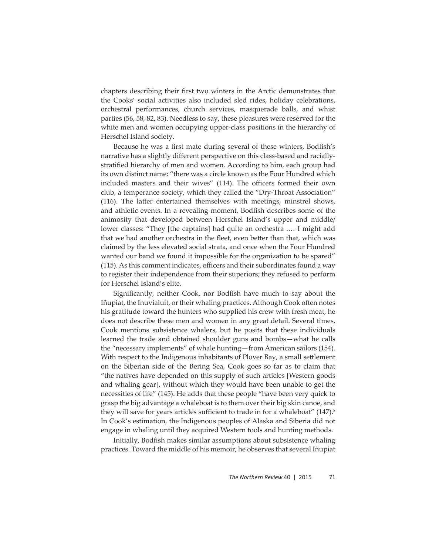chapters describing their first two winters in the Arctic demonstrates that the Cooks' social activities also included sled rides, holiday celebrations, orchestral performances, church services, masquerade balls, and whist parties (56, 58, 82, 83). Needless to say, these pleasures were reserved for the white men and women occupying upper-class positions in the hierarchy of Herschel Island society.

Because he was a first mate during several of these winters, Bodfish's narrative has a slightly different perspective on this class-based and raciallystratified hierarchy of men and women. According to him, each group had its own distinct name: "there was a circle known as the Four Hundred which included masters and their wives" (114). The officers formed their own club, a temperance society, which they called the "Dry-Throat Association"  $(116)$ . The latter entertained themselves with meetings, minstrel shows, and athletic events. In a revealing moment, Bodfish describes some of the animosity that developed between Herschel Island's upper and middle/ lower classes: "They [the captains] had quite an orchestra .… I might add that we had another orchestra in the fleet, even better than that, which was claimed by the less elevated social strata, and once when the Four Hundred wanted our band we found it impossible for the organization to be spared" (115). As this comment indicates, officers and their subordinates found a way to register their independence from their superiors; they refused to perform for Herschel Island's elite.

Significantly, neither Cook, nor Bodfish have much to say about the Iñupiat, the Inuvialuit, or their whaling practices. Although Cook often notes his gratitude toward the hunters who supplied his crew with fresh meat, he does not describe these men and women in any great detail. Several times, Cook mentions subsistence whalers, but he posits that these individuals learned the trade and obtained shoulder guns and bombs—what he calls the "necessary implements" of whale hunting—from American sailors (154). With respect to the Indigenous inhabitants of Plover Bay, a small settlement on the Siberian side of the Bering Sea, Cook goes so far as to claim that "the natives have depended on this supply of such articles [Western goods and whaling gear], without which they would have been unable to get the necessities of life" (145). He adds that these people "have been very quick to grasp the big advantage a whaleboat is to them over their big skin canoe, and they will save for years articles sufficient to trade in for a whaleboat"  $(147)^8$ In Cook's estimation, the Indigenous peoples of Alaska and Siberia did not engage in whaling until they acquired Western tools and hunting methods.

Initially, Bodfish makes similar assumptions about subsistence whaling practices. Toward the middle of his memoir, he observes that several Iñupiat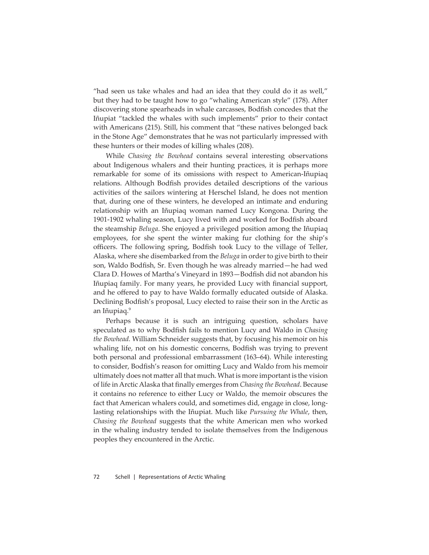"had seen us take whales and had an idea that they could do it as well," but they had to be taught how to go "whaling American style" (178). After discovering stone spearheads in whale carcasses, Bodfish concedes that the Iñupiat "tackled the whales with such implements" prior to their contact with Americans (215). Still, his comment that "these natives belonged back in the Stone Age" demonstrates that he was not particularly impressed with these hunters or their modes of killing whales (208).

While *Chasing the Bowhead* contains several interesting observations about Indigenous whalers and their hunting practices, it is perhaps more remarkable for some of its omissions with respect to American-Iñupiaq relations. Although Bodfish provides detailed descriptions of the various activities of the sailors wintering at Herschel Island, he does not mention that, during one of these winters, he developed an intimate and enduring relationship with an Iñupiaq woman named Lucy Kongona. During the 1901-1902 whaling season, Lucy lived with and worked for Bodfish aboard the steamship *Beluga*. She enjoyed a privileged position among the Iñupiaq employees, for she spent the winter making fur clothing for the ship's officers. The following spring, Bodfish took Lucy to the village of Teller, Alaska, where she disembarked from the *Beluga* in order to give birth to their son, Waldo Bodfish, Sr. Even though he was already married—he had wed Clara D. Howes of Martha's Vineyard in 1893-Bodfish did not abandon his Iñupiaq family. For many years, he provided Lucy with financial support, and he offered to pay to have Waldo formally educated outside of Alaska. Declining Bodfish's proposal, Lucy elected to raise their son in the Arctic as an Iñupiaq.9

Perhaps because it is such an intriguing question, scholars have speculated as to why Bodfish fails to mention Lucy and Waldo in *Chasing the Bowhead.* William Schneider suggests that, by focusing his memoir on his whaling life, not on his domestic concerns, Bodfish was trying to prevent both personal and professional embarrassment (163–64). While interesting to consider, Bodfish's reason for omitting Lucy and Waldo from his memoir ultimately does not matter all that much. What is more important is the vision of life in Arctic Alaska that finally emerges from *Chasing the Bowhead*. Because it contains no reference to either Lucy or Waldo, the memoir obscures the fact that American whalers could, and sometimes did, engage in close, longlasting relationships with the Iñupiat. Much like *Pursuing the Whale*, then, *Chasing the Bowhead* suggests that the white American men who worked in the whaling industry tended to isolate themselves from the Indigenous peoples they encountered in the Arctic.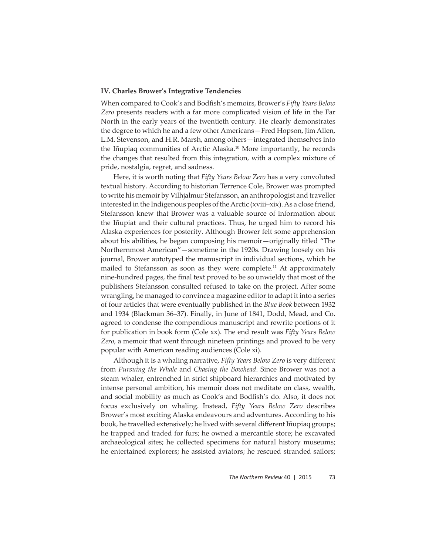# **IV. Charles Brower's Integrative Tendencies**

When compared to Cook's and Bodfish's memoirs, Brower's Fifty Years Below *Zero* presents readers with a far more complicated vision of life in the Far North in the early years of the twentieth century. He clearly demonstrates the degree to which he and a few other Americans—Fred Hopson, Jim Allen, L.M. Stevenson, and H.R. Marsh, among others—integrated themselves into the Iñupiaq communities of Arctic Alaska.<sup>10</sup> More importantly, he records the changes that resulted from this integration, with a complex mixture of pride, nostalgia, regret, and sadness.

Here, it is worth noting that *Fifty Years Below Zero* has a very convoluted textual history. According to historian Terrence Cole, Brower was prompted to write his memoir by Vilhjalmur Stefansson, an anthropologist and traveller interested in the Indigenous peoples of the Arctic (xviii–xix). As a close friend, Stefansson knew that Brower was a valuable source of information about the Iñupiat and their cultural practices. Thus, he urged him to record his Alaska experiences for posterity. Although Brower felt some apprehension about his abilities, he began composing his memoir—originally titled "The Northernmost American"—sometime in the 1920s. Drawing loosely on his journal, Brower autotyped the manuscript in individual sections, which he mailed to Stefansson as soon as they were complete.<sup>11</sup> At approximately nine-hundred pages, the final text proved to be so unwieldy that most of the publishers Stefansson consulted refused to take on the project. After some wrangling, he managed to convince a magazine editor to adapt it into a series of four articles that were eventually published in the *Blue Book* between 1932 and 1934 (Blackman 36–37). Finally, in June of 1841, Dodd, Mead, and Co. agreed to condense the compendious manuscript and rewrite portions of it for publication in book form (Cole xx). The end result was *Fifty Years Below Zero*, a memoir that went through nineteen printings and proved to be very popular with American reading audiences (Cole xi).

Although it is a whaling narrative, *Fifty Years Below Zero* is very different from *Pursuing the Whale* and *Chasing the Bowhead*. Since Brower was not a steam whaler, entrenched in strict shipboard hierarchies and motivated by intense personal ambition, his memoir does not meditate on class, wealth, and social mobility as much as Cook's and Bodfish's do. Also, it does not focus exclusively on whaling. Instead, *Fifty Years Below Zero* describes Brower's most exciting Alaska endeavours and adventures. According to his book, he travelled extensively; he lived with several different Iñupiaq groups; he trapped and traded for furs; he owned a mercantile store; he excavated archaeological sites; he collected specimens for natural history museums; he entertained explorers; he assisted aviators; he rescued stranded sailors;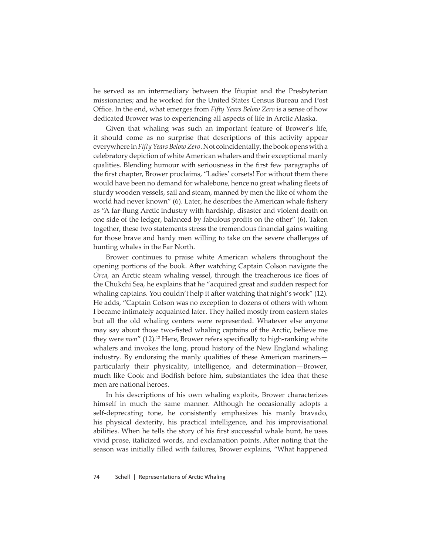he served as an intermediary between the Iñupiat and the Presbyterian missionaries; and he worked for the United States Census Bureau and Post Office. In the end, what emerges from *Fifty Years Below Zero* is a sense of how dedicated Brower was to experiencing all aspects of life in Arctic Alaska.

Given that whaling was such an important feature of Brower's life, it should come as no surprise that descriptions of this activity appear everywhere in *Fifty Years Below Zero*. Not coincidentally, the book opens with a celebratory depiction of white American whalers and their exceptional manly qualities. Blending humour with seriousness in the first few paragraphs of the first chapter, Brower proclaims, "Ladies' corsets! For without them there would have been no demand for whalebone, hence no great whaling fleets of sturdy wooden vessels, sail and steam, manned by men the like of whom the world had never known" (6). Later, he describes the American whale fishery as "A far-flung Arctic industry with hardship, disaster and violent death on one side of the ledger, balanced by fabulous profits on the other" (6). Taken together, these two statements stress the tremendous financial gains waiting for those brave and hardy men willing to take on the severe challenges of hunting whales in the Far North.

Brower continues to praise white American whalers throughout the opening portions of the book. After watching Captain Colson navigate the *Orca*, an Arctic steam whaling vessel, through the treacherous ice floes of the Chukchi Sea, he explains that he "acquired great and sudden respect for whaling captains. You couldn't help it after watching that night's work" (12). He adds, "Captain Colson was no exception to dozens of others with whom I became intimately acquainted later. They hailed mostly from eastern states but all the old whaling centers were represented. Whatever else anyone may say about those two-fisted whaling captains of the Arctic, believe me they were *men*" (12).<sup>12</sup> Here, Brower refers specifically to high-ranking white whalers and invokes the long, proud history of the New England whaling industry. By endorsing the manly qualities of these American mariners particularly their physicality, intelligence, and determination—Brower, much like Cook and Bodfish before him, substantiates the idea that these men are national heroes.

In his descriptions of his own whaling exploits, Brower characterizes himself in much the same manner. Although he occasionally adopts a self-deprecating tone, he consistently emphasizes his manly bravado, his physical dexterity, his practical intelligence, and his improvisational abilities. When he tells the story of his first successful whale hunt, he uses vivid prose, italicized words, and exclamation points. After noting that the season was initially filled with failures, Brower explains, "What happened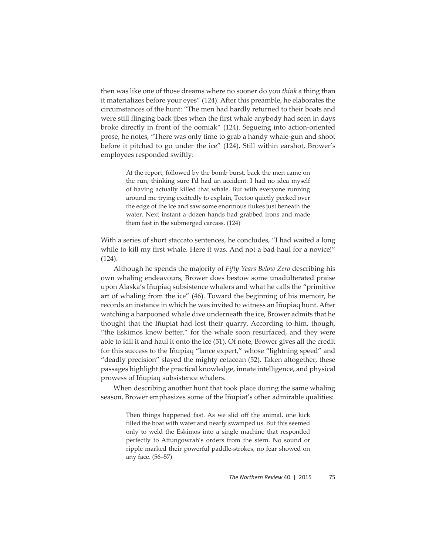then was like one of those dreams where no sooner do you *think* a thing than it materializes before your eyes" (124). After this preamble, he elaborates the circumstances of the hunt: "The men had hardly returned to their boats and were still flinging back jibes when the first whale anybody had seen in days broke directly in front of the oomiak" (124). Segueing into action-oriented prose, he notes, "There was only time to grab a handy whale-gun and shoot before it pitched to go under the ice" (124). Still within earshot, Brower's employees responded swiftly:

> At the report, followed by the bomb burst, back the men came on the run, thinking sure I'd had an accident. I had no idea myself of having actually killed that whale. But with everyone running around me trying excitedly to explain, Toctoo quietly peeked over the edge of the ice and saw some enormous flukes just beneath the water. Next instant a dozen hands had grabbed irons and made them fast in the submerged carcass. (124)

With a series of short staccato sentences, he concludes, "I had waited a long while to kill my first whale. Here it was. And not a bad haul for a novice!" (124).

Although he spends the majority of *Fifty Years Below Zero* describing his own whaling endeavours, Brower does bestow some unadulterated praise upon Alaska's Iñupiaq subsistence whalers and what he calls the "primitive art of whaling from the ice" (46). Toward the beginning of his memoir, he records an instance in which he was invited to witness an Iñupiaq hunt. After watching a harpooned whale dive underneath the ice, Brower admits that he thought that the Iñupiat had lost their quarry. According to him, though, "the Eskimos knew better," for the whale soon resurfaced, and they were able to kill it and haul it onto the ice (51). Of note, Brower gives all the credit for this success to the Iñupiaq "lance expert," whose "lightning speed" and "deadly precision" slayed the mighty cetacean (52). Taken altogether, these passages highlight the practical knowledge, innate intelligence, and physical prowess of Iñupiaq subsistence whalers.

When describing another hunt that took place during the same whaling season, Brower emphasizes some of the Iñupiat's other admirable qualities:

> Then things happened fast. As we slid off the animal, one kick filled the boat with water and nearly swamped us. But this seemed only to weld the Eskimos into a single machine that responded perfectly to Attungowrah's orders from the stern. No sound or ripple marked their powerful paddle-strokes, no fear showed on any face. (56–57)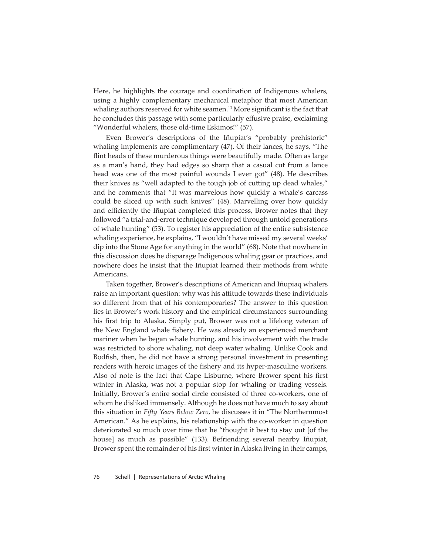Here, he highlights the courage and coordination of Indigenous whalers, using a highly complementary mechanical metaphor that most American whaling authors reserved for white seamen.<sup>13</sup> More significant is the fact that he concludes this passage with some particularly effusive praise, exclaiming "Wonderful whalers, those old-time Eskimos!" (57).

Even Brower's descriptions of the Iñupiat's "probably prehistoric" whaling implements are complimentary (47). Of their lances, he says, "The flint heads of these murderous things were beautifully made. Often as large as a man's hand, they had edges so sharp that a casual cut from a lance head was one of the most painful wounds I ever got" (48). He describes their knives as "well adapted to the tough job of cutting up dead whales," and he comments that "It was marvelous how quickly a whale's carcass could be sliced up with such knives" (48). Marvelling over how quickly and efficiently the Iñupiat completed this process, Brower notes that they followed "a trial-and-error technique developed through untold generations of whale hunting" (53). To register his appreciation of the entire subsistence whaling experience, he explains, "I wouldn't have missed my several weeks' dip into the Stone Age for anything in the world" (68). Note that nowhere in this discussion does he disparage Indigenous whaling gear or practices, and nowhere does he insist that the Iñupiat learned their methods from white Americans.

Taken together, Brower's descriptions of American and Iñupiaq whalers raise an important question: why was his attitude towards these individuals so different from that of his contemporaries? The answer to this question lies in Brower's work history and the empirical circumstances surrounding his first trip to Alaska. Simply put, Brower was not a lifelong veteran of the New England whale fishery. He was already an experienced merchant mariner when he began whale hunting, and his involvement with the trade was restricted to shore whaling, not deep water whaling. Unlike Cook and Bodfish, then, he did not have a strong personal investment in presenting readers with heroic images of the fishery and its hyper-masculine workers. Also of note is the fact that Cape Lisburne, where Brower spent his first winter in Alaska, was not a popular stop for whaling or trading vessels. Initially, Brower's entire social circle consisted of three co-workers, one of whom he disliked immensely. Although he does not have much to say about this situation in *Fifty Years Below Zero*, he discusses it in "The Northernmost American." As he explains, his relationship with the co-worker in question deteriorated so much over time that he "thought it best to stay out [of the house] as much as possible" (133). Befriending several nearby Iñupiat, Brower spent the remainder of his first winter in Alaska living in their camps,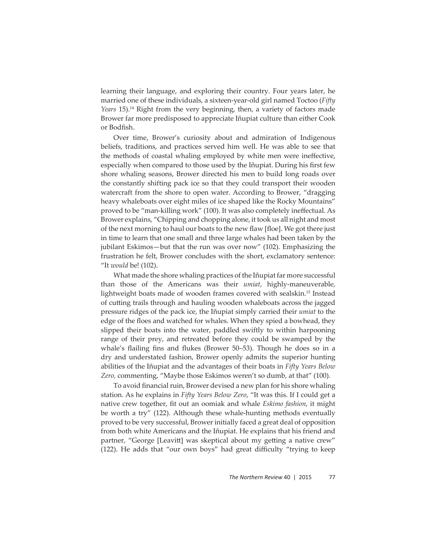learning their language, and exploring their country. Four years later, he married one of these individuals, a sixteen-year-old girl named Toctoo (*Fifty Years* 15).14 Right from the very beginning, then, a variety of factors made Brower far more predisposed to appreciate Iñupiat culture than either Cook or Bodfish.

Over time, Brower's curiosity about and admiration of Indigenous beliefs, traditions, and practices served him well. He was able to see that the methods of coastal whaling employed by white men were ineffective, especially when compared to those used by the Iñupiat. During his first few shore whaling seasons, Brower directed his men to build long roads over the constantly shifting pack ice so that they could transport their wooden watercraft from the shore to open water. According to Brower, "dragging heavy whaleboats over eight miles of ice shaped like the Rocky Mountains" proved to be "man-killing work" (100). It was also completely ineffectual. As Brower explains, "Chipping and chopping alone, it took us all night and most of the next morning to haul our boats to the new flaw [floe]. We got there just in time to learn that one small and three large whales had been taken by the jubilant Eskimos—but that the run was over now" (102). Emphasizing the frustration he felt, Brower concludes with the short, exclamatory sentence: "It *would* be! (102).

What made the shore whaling practices of the Iñupiat far more successful than those of the Americans was their *umiat*, highly-maneuverable, lightweight boats made of wooden frames covered with sealskin.15 Instead of cutting trails through and hauling wooden whaleboats across the jagged pressure ridges of the pack ice, the Iñupiat simply carried their *umiat* to the edge of the floes and watched for whales. When they spied a bowhead, they slipped their boats into the water, paddled swiftly to within harpooning range of their prey, and retreated before they could be swamped by the whale's flailing fins and flukes (Brower 50–53). Though he does so in a dry and understated fashion, Brower openly admits the superior hunting abilities of the Iñupiat and the advantages of their boats in *Fifty Years Below Zero,* commenting, "Maybe those Eskimos weren't so dumb, at that" (100).

To avoid financial ruin, Brower devised a new plan for his shore whaling station. As he explains in *Fifty Years Below Zero*, "It was this. If I could get a native crew together, fit out an oomiak and whale *Eskimo fashion*, it might be worth a try" (122). Although these whale-hunting methods eventually proved to be very successful, Brower initially faced a great deal of opposition from both white Americans and the Iñupiat. He explains that his friend and partner, "George [Leavitt] was skeptical about my getting a native crew" (122). He adds that "our own boys" had great difficulty "trying to keep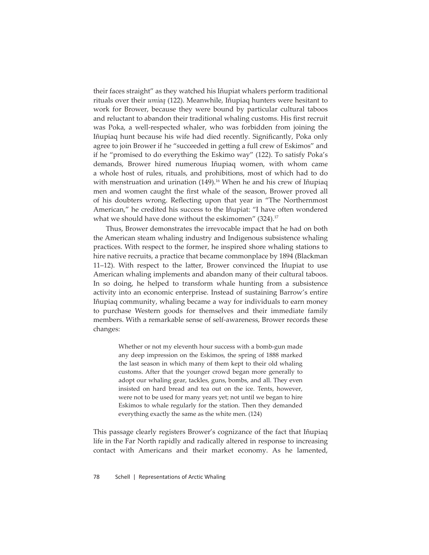their faces straight" as they watched his Iñupiat whalers perform traditional rituals over their *umiaq* (122). Meanwhile, Iñupiaq hunters were hesitant to work for Brower, because they were bound by particular cultural taboos and reluctant to abandon their traditional whaling customs. His first recruit was Poka, a well-respected whaler, who was forbidden from joining the Iñupiaq hunt because his wife had died recently. Significantly, Poka only agree to join Brower if he "succeeded in getting a full crew of Eskimos" and if he "promised to do everything the Eskimo way" (122). To satisfy Poka's demands, Brower hired numerous Iñupiaq women, with whom came a whole host of rules, rituals, and prohibitions, most of which had to do with menstruation and urination (149).<sup>16</sup> When he and his crew of Iñupiaq men and women caught the first whale of the season, Brower proved all of his doubters wrong. Reflecting upon that year in "The Northernmost American," he credited his success to the Iñupiat: "I have often wondered what we should have done without the eskimomen" (324).<sup>17</sup>

Thus, Brower demonstrates the irrevocable impact that he had on both the American steam whaling industry and Indigenous subsistence whaling practices. With respect to the former, he inspired shore whaling stations to hire native recruits, a practice that became commonplace by 1894 (Blackman 11–12). With respect to the latter, Brower convinced the Iñupiat to use American whaling implements and abandon many of their cultural taboos. In so doing, he helped to transform whale hunting from a subsistence activity into an economic enterprise. Instead of sustaining Barrow's entire Iñupiaq community, whaling became a way for individuals to earn money to purchase Western goods for themselves and their immediate family members. With a remarkable sense of self-awareness, Brower records these changes:

> Whether or not my eleventh hour success with a bomb-gun made any deep impression on the Eskimos, the spring of 1888 marked the last season in which many of them kept to their old whaling customs. After that the younger crowd began more generally to adopt our whaling gear, tackles, guns, bombs, and all. They even insisted on hard bread and tea out on the ice. Tents, however, were not to be used for many years yet; not until we began to hire Eskimos to whale regularly for the station. Then they demanded everything exactly the same as the white men. (124)

This passage clearly registers Brower's cognizance of the fact that Iñupiaq life in the Far North rapidly and radically altered in response to increasing contact with Americans and their market economy. As he lamented,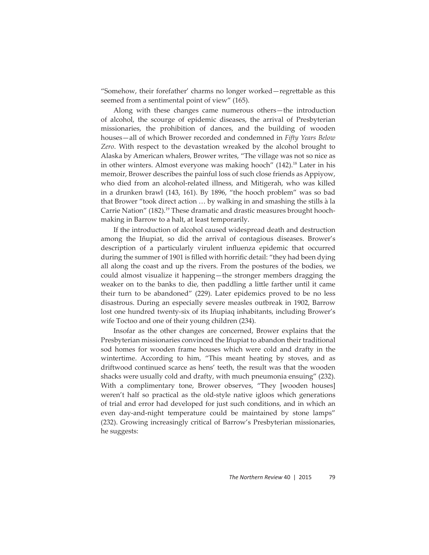"Somehow, their forefather' charms no longer worked—regrettable as this seemed from a sentimental point of view" (165).

Along with these changes came numerous others—the introduction of alcohol, the scourge of epidemic diseases, the arrival of Presbyterian missionaries, the prohibition of dances, and the building of wooden houses—all of which Brower recorded and condemned in *Fifty Years Below Zero*. With respect to the devastation wreaked by the alcohol brought to Alaska by American whalers, Brower writes, "The village was not so nice as in other winters. Almost everyone was making hooch" (142).<sup>18</sup> Later in his memoir, Brower describes the painful loss of such close friends as Appiyow, who died from an alcohol-related illness, and Mitigerah, who was killed in a drunken brawl (143, 161). By 1896, "the hooch problem" was so bad that Brower "took direct action … by walking in and smashing the stills à la Carrie Nation" (182).<sup>19</sup> These dramatic and drastic measures brought hoochmaking in Barrow to a halt, at least temporarily.

If the introduction of alcohol caused widespread death and destruction among the Iñupiat, so did the arrival of contagious diseases. Brower's description of a particularly virulent influenza epidemic that occurred during the summer of 1901 is filled with horrific detail: "they had been dying all along the coast and up the rivers. From the postures of the bodies, we could almost visualize it happening—the stronger members dragging the weaker on to the banks to die, then paddling a little farther until it came their turn to be abandoned" (229). Later epidemics proved to be no less disastrous. During an especially severe measles outbreak in 1902, Barrow lost one hundred twenty-six of its Iñupiaq inhabitants, including Brower's wife Toctoo and one of their young children (234).

Insofar as the other changes are concerned, Brower explains that the Presbyterian missionaries convinced the Iñupiat to abandon their traditional sod homes for wooden frame houses which were cold and drafty in the wintertime. According to him, "This meant heating by stoves, and as driftwood continued scarce as hens' teeth, the result was that the wooden shacks were usually cold and drafty, with much pneumonia ensuing" (232). With a complimentary tone, Brower observes, "They [wooden houses] weren't half so practical as the old-style native igloos which generations of trial and error had developed for just such conditions, and in which an even day-and-night temperature could be maintained by stone lamps" (232). Growing increasingly critical of Barrow's Presbyterian missionaries, he suggests: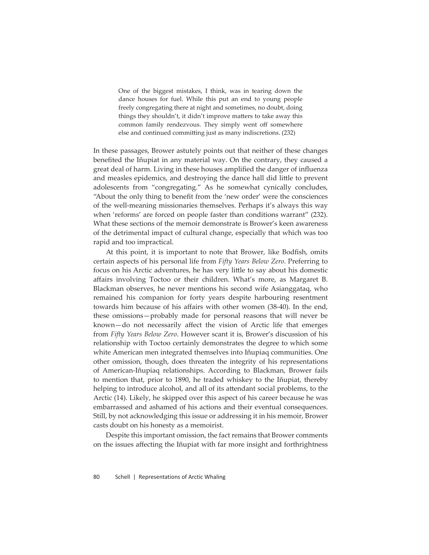One of the biggest mistakes, I think, was in tearing down the dance houses for fuel. While this put an end to young people freely congregating there at night and sometimes, no doubt, doing things they shouldn't, it didn't improve matters to take away this common family rendezvous. They simply went off somewhere else and continued committing just as many indiscretions. (232)

In these passages, Brower astutely points out that neither of these changes benefited the Iñupiat in any material way. On the contrary, they caused a great deal of harm. Living in these houses amplified the danger of influenza and measles epidemics, and destroying the dance hall did little to prevent adolescents from "congregating." As he somewhat cynically concludes, "About the only thing to benefit from the 'new order' were the consciences of the well-meaning missionaries themselves. Perhaps it's always this way when 'reforms' are forced on people faster than conditions warrant" (232). What these sections of the memoir demonstrate is Brower's keen awareness of the detrimental impact of cultural change, especially that which was too rapid and too impractical.

At this point, it is important to note that Brower, like Bodfish, omits certain aspects of his personal life from *Fifty Years Below Zero*. Preferring to focus on his Arctic adventures, he has very little to say about his domestic affairs involving Toctoo or their children. What's more, as Margaret B. Blackman observes, he never mentions his second wife Asianggataq, who remained his companion for forty years despite harbouring resentment towards him because of his affairs with other women (38-40). In the end, these omissions—probably made for personal reasons that will never be known—do not necessarily affect the vision of Arctic life that emerges from *Fifty Years Below Zero*. However scant it is, Brower's discussion of his relationship with Toctoo certainly demonstrates the degree to which some white American men integrated themselves into Iñupiaq communities. One other omission, though, does threaten the integrity of his representations of American-Iñupiaq relationships. According to Blackman, Brower fails to mention that, prior to 1890, he traded whiskey to the Iñupiat, thereby helping to introduce alcohol, and all of its attendant social problems, to the Arctic (14). Likely, he skipped over this aspect of his career because he was embarrassed and ashamed of his actions and their eventual consequences. Still, by not acknowledging this issue or addressing it in his memoir, Brower casts doubt on his honesty as a memoirist.

Despite this important omission, the fact remains that Brower comments on the issues affecting the Iñupiat with far more insight and forthrightness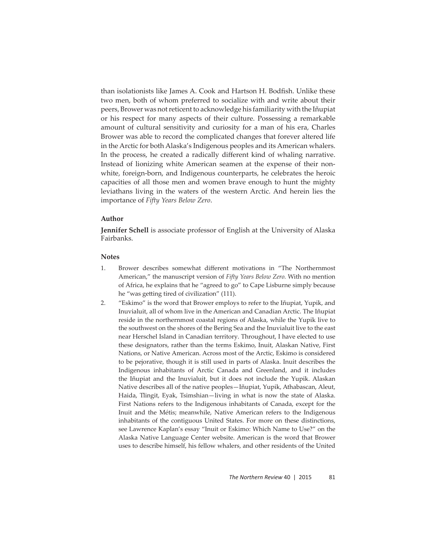than isolationists like James A. Cook and Hartson H. Bodfish. Unlike these two men, both of whom preferred to socialize with and write about their peers, Brower was not reticent to acknowledge his familiarity with the Iñupiat or his respect for many aspects of their culture. Possessing a remarkable amount of cultural sensitivity and curiosity for a man of his era, Charles Brower was able to record the complicated changes that forever altered life in the Arctic for both Alaska's Indigenous peoples and its American whalers. In the process, he created a radically different kind of whaling narrative. Instead of lionizing white American seamen at the expense of their nonwhite, foreign-born, and Indigenous counterparts, he celebrates the heroic capacities of all those men and women brave enough to hunt the mighty leviathans living in the waters of the western Arctic. And herein lies the importance of *Fifty Years Below Zero*.

## **Author**

**Jennifer Schell** is associate professor of English at the University of Alaska Fairbanks.

### **Notes**

- 1. Brower describes somewhat different motivations in "The Northernmost" American," the manuscript version of *Fifty Years Below Zero.* With no mention of Africa, he explains that he "agreed to go" to Cape Lisburne simply because he "was getting tired of civilization" (111).
- 2. "Eskimo" is the word that Brower employs to refer to the Iñupiat, Yupik, and Inuvialuit, all of whom live in the American and Canadian Arctic. The Iñupiat reside in the northernmost coastal regions of Alaska, while the Yupik live to the southwest on the shores of the Bering Sea and the Inuvialuit live to the east near Herschel Island in Canadian territory. Throughout, I have elected to use these designators, rather than the terms Eskimo, Inuit, Alaskan Native, First Nations, or Native American. Across most of the Arctic, Eskimo is considered to be pejorative, though it is still used in parts of Alaska. Inuit describes the Indigenous inhabitants of Arctic Canada and Greenland, and it includes the Iñupiat and the Inuvialuit, but it does not include the Yupik. Alaskan Native describes all of the native peoples—Iñupiat, Yupik, Athabascan, Aleut, Haida, Tlingit, Eyak, Tsimshian—living in what is now the state of Alaska. First Nations refers to the Indigenous inhabitants of Canada, except for the Inuit and the Métis; meanwhile, Native American refers to the Indigenous inhabitants of the contiguous United States. For more on these distinctions, see Lawrence Kaplan's essay "Inuit or Eskimo: Which Name to Use?" on the Alaska Native Language Center website. American is the word that Brower uses to describe himself, his fellow whalers, and other residents of the United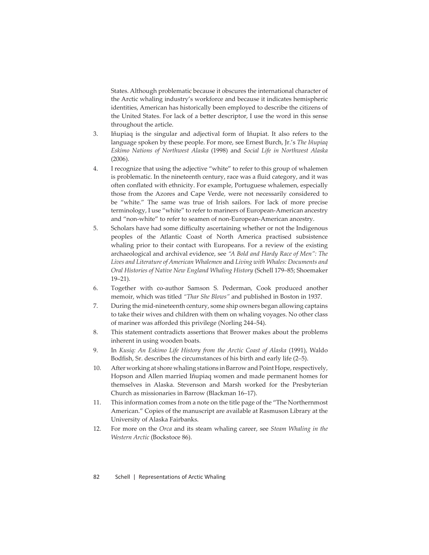States. Although problematic because it obscures the international character of the Arctic whaling industry's workforce and because it indicates hemispheric identities, American has historically been employed to describe the citizens of the United States. For lack of a better descriptor, I use the word in this sense throughout the article.

- 3. Iñupiaq is the singular and adjectival form of Iñupiat. It also refers to the language spoken by these people. For more, see Ernest Burch, Jr.'s *The Iñupiaq Eskimo Nations of Northwest Alaska* (1998) and *Social Life in Northwest Alaska* (2006).
- 4. I recognize that using the adjective "white" to refer to this group of whalemen is problematic. In the nineteenth century, race was a fluid category, and it was often conflated with ethnicity. For example, Portuguese whalemen, especially those from the Azores and Cape Verde, were not necessarily considered to be "white." The same was true of Irish sailors. For lack of more precise terminology, I use "white" to refer to mariners of European-American ancestry and "non-white" to refer to seamen of non-European-American ancestry.
- 5. Scholars have had some difficulty ascertaining whether or not the Indigenous peoples of the Atlantic Coast of North America practised subsistence whaling prior to their contact with Europeans. For a review of the existing archaeological and archival evidence, see *"A Bold and Hardy Race of Men": The Lives and Literature of American Whalemen* and *Living with Whales: Documents and Oral Histories of Native New England Whaling History* (Schell 179–85; Shoemaker 19–21).
- 6. Together with co-author Samson S. Pederman, Cook produced another memoir, which was titled *"Thar She Blows"* and published in Boston in 1937.
- 7. During the mid-nineteenth century, some ship owners began allowing captains to take their wives and children with them on whaling voyages. No other class of mariner was afforded this privilege (Norling 244-54).
- 8. This statement contradicts assertions that Brower makes about the problems inherent in using wooden boats.
- 9. In *Kusiq: An Eskimo Life History from the Arctic Coast of Alaska* (1991), Waldo Bodfish, Sr. describes the circumstances of his birth and early life (2-5).
- 10. After working at shore whaling stations in Barrow and Point Hope, respectively, Hopson and Allen married Iñupiaq women and made permanent homes for themselves in Alaska. Stevenson and Marsh worked for the Presbyterian Church as missionaries in Barrow (Blackman 16–17).
- 11. This information comes from a note on the title page of the "The Northernmost American." Copies of the manuscript are available at Rasmuson Library at the University of Alaska Fairbanks.
- 12. For more on the *Orca* and its steam whaling career, see *Steam Whaling in the Western Arctic* (Bockstoce 86).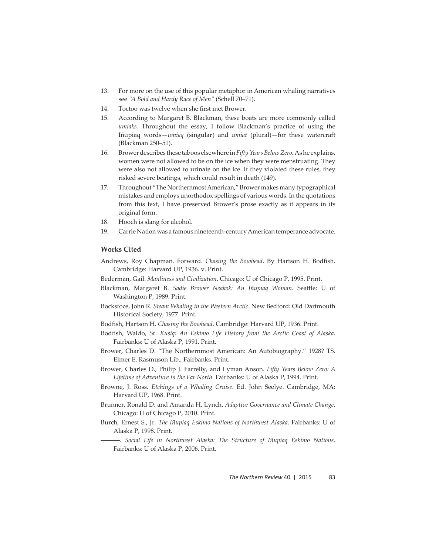- 13. For more on the use of this popular metaphor in American whaling narratives see *"A Bold and Hardy Race of Men"* (Schell 70–71).
- 14. Toctoo was twelve when she first met Brower.
- 15. According to Margaret B. Blackman, these boats are more commonly called *umiaks.* Throughout the essay, I follow Blackman's practice of using the Iñupiaq words—*umiaq* (singular) and *umiat* (plural)—for these watercraft (Blackman 250–51).
- 16. Brower describes these taboos elsewhere in *Fifty Years Below Zero.* As he explains, women were not allowed to be on the ice when they were menstruating. They were also not allowed to urinate on the ice. If they violated these rules, they risked severe beatings, which could result in death (149).
- 17. Throughout "The Northernmost American," Brower makes many typographical mistakes and employs unorthodox spellings of various words. In the quotations from this text, I have preserved Brower's prose exactly as it appears in its original form.
- 18. Hooch is slang for alcohol.
- 19. Carrie Nation was a famous nineteenth-century American temperance advocate.

## **Works Cited**

- Andrews, Roy Chapman. Forward. *Chasing the Bowhead*. By Hartson H. Bodfish. Cambridge: Harvard UP, 1936. v. Print.
- Bederman, Gail. *Manliness and Civilization*. Chicago: U of Chicago P, 1995. Print.
- Blackman, Margaret B. Sadie Brower Neakok: An Iñupiaq Woman. Seattle: U of Washington P, 1989. Print.
- Bockstoce, John R. *Steam Whaling in the Western Arctic*. New Bedford: Old Dartmouth Historical Society, 1977. Print.
- Bodfish, Hartson H. *Chasing the Bowhead*. Cambridge: Harvard UP, 1936. Print.
- Bodfish, Waldo, Sr. *Kusiq: An Eskimo Life History from the Arctic Coast of Alaska*. Fairbanks: U of Alaska P, 1991. Print.
- Brower, Charles D. "The Northernmost American: An Autobiography." 1928? TS. Elmer E. Rasmuson Lib., Fairbanks. Print.
- Brower, Charles D., Philip J. Farrelly, and Lyman Anson. *Fifty Years Below Zero: A Lifetime of Adventure in the Far North*. Fairbanks: U of Alaska P, 1994. Print.
- Browne, J. Ross. *Etchings of a Whaling Cruise*. Ed. John Seelye. Cambridge, MA: Harvard UP, 1968. Print.
- Brunner, Ronald D. and Amanda H. Lynch. *Adaptive Governance and Climate Change.* Chicago: U of Chicago P, 2010. Print.
- Burch, Ernest S., Jr. *The Iñupiaq Eskimo Nations of Northwest Alaska*. Fairbanks: U of Alaska P, 1998. Print.

———. *Social Life in Northwest Alaska: The Structure of Iñupiaq Eskimo Nations*. Fairbanks: U of Alaska P, 2006. Print.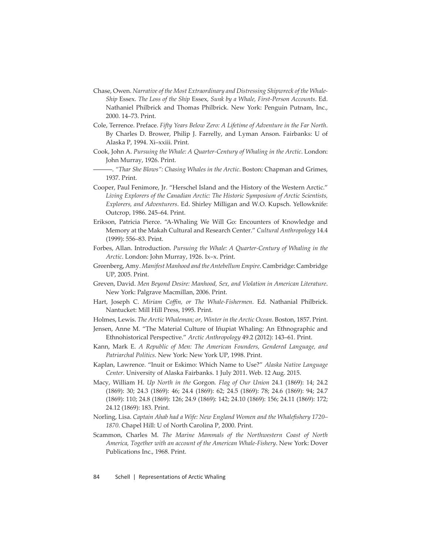- Chase, Owen. *Narrative of the Most Extraordinary and Distressing Shipwreck of the Whale-Ship* Essex. *The Loss of the Ship* Essex*, Sunk by a Whale, First-Person Accounts*. Ed. Nathaniel Philbrick and Thomas Philbrick. New York: Penguin Putnam, Inc., 2000. 14–73. Print.
- Cole, Terrence. Preface. *Fifty Years Below Zero: A Lifetime of Adventure in the Far North*. By Charles D. Brower, Philip J. Farrelly, and Lyman Anson. Fairbanks: U of Alaska P, 1994. Xi–xxiii. Print.
- Cook, John A. *Pursuing the Whale: A Quarter-Century of Whaling in the Arctic*. London: John Murray, 1926. Print.
	- ———. *"Thar She Blows": Chasing Whales in the Arctic*. Boston: Chapman and Grimes, 1937. Print.
- Cooper, Paul Fenimore, Jr. "Herschel Island and the History of the Western Arctic." *Living Explorers of the Canadian Arctic: The Historic Symposium of Arctic Scientists, Explorers, and Adventurers*. Ed. Shirley Milligan and W.O. Kupsch. Yellowknife: Outcrop, 1986. 245–64. Print.
- Erikson, Patricia Pierce. "A-Whaling We Will Go: Encounters of Knowledge and Memory at the Makah Cultural and Research Center." *Cultural Anthropology* 14.4 (1999): 556–83. Print.
- Forbes, Allan. Introduction. *Pursuing the Whale: A Quarter-Century of Whaling in the Arctic*. London: John Murray, 1926. Ix–x. Print.
- Greenberg, Amy. *Manifest Manhood and the Antebellum Empire*. Cambridge: Cambridge UP, 2005. Print.
- Greven, David. *Men Beyond Desire: Manhood, Sex, and Violation in American Literature*. New York: Palgrave Macmillan, 2006. Print.
- Hart, Joseph C. *Miriam Coffi n, or The Whale-Fishermen*. Ed. Nathanial Philbrick. Nantucket: Mill Hill Press, 1995. Print.
- Holmes, Lewis. *The Arctic Whaleman; or, Winter in the Arctic Ocean.* Boston, 1857. Print.
- Jensen, Anne M. "The Material Culture of Iñupiat Whaling: An Ethnographic and Ethnohistorical Perspective." *Arctic Anthropology* 49.2 (2012): 143–61. Print.
- Kann, Mark E. *A Republic of Men: The American Founders, Gendered Language, and Patriarchal Politics*. New York: New York UP, 1998. Print.
- Kaplan, Lawrence. "Inuit or Eskimo: Which Name to Use?" *Alaska Native Language Center.* University of Alaska Fairbanks. 1 July 2011. Web. 12 Aug. 2015.
- Macy, William H. *Up North in the* Gorgon*. Flag of Our Union* 24.1 (1869): 14; 24.2 (1869): 30; 24.3 (1869): 46; 24.4 (1869): 62; 24.5 (1869): 78; 24.6 (1869): 94; 24.7 (1869): 110; 24.8 (1869): 126; 24.9 (1869): 142; 24.10 (1869): 156; 24.11 (1869): 172; 24.12 (1869): 183. Print.
- Norling, Lisa. *Captain Ahab had a Wife: New England Women and the Whalefishery 1720 1870*. Chapel Hill: U of North Carolina P, 2000. Print.
- Scammon, Charles M. *The Marine Mammals of the Northwestern Coast of North America, Together with an account of the American Whale-Fishery*. New York: Dover Publications Inc., 1968. Print.

84 Schell | Representations of Arctic Whaling